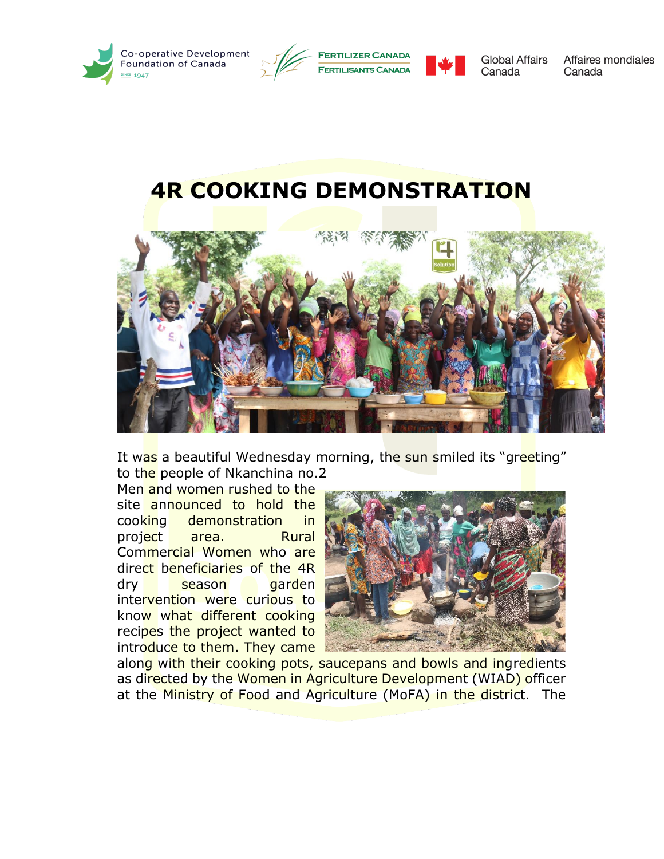





**Global Affairs** Canada

Affaires mondiales Canada

## **4R COOKING DEMONSTRATION**



It was a beautiful Wednesday morning, the sun smiled its "greeting" to the people of Nkanchina no.2

Men and women rushed to the site announced to hold the cooking demonstration in project area. Rural Commercial Women who are direct beneficiaries of the 4R dry season garden intervention were curious to know what different cooking recipes the project wanted to introduce to them. They came



along with their cooking pots, saucepans and bowls and ingredients as directed by the Women in Agriculture Development (WIAD) officer at the Ministry of Food and Agriculture (MoFA) in the district. The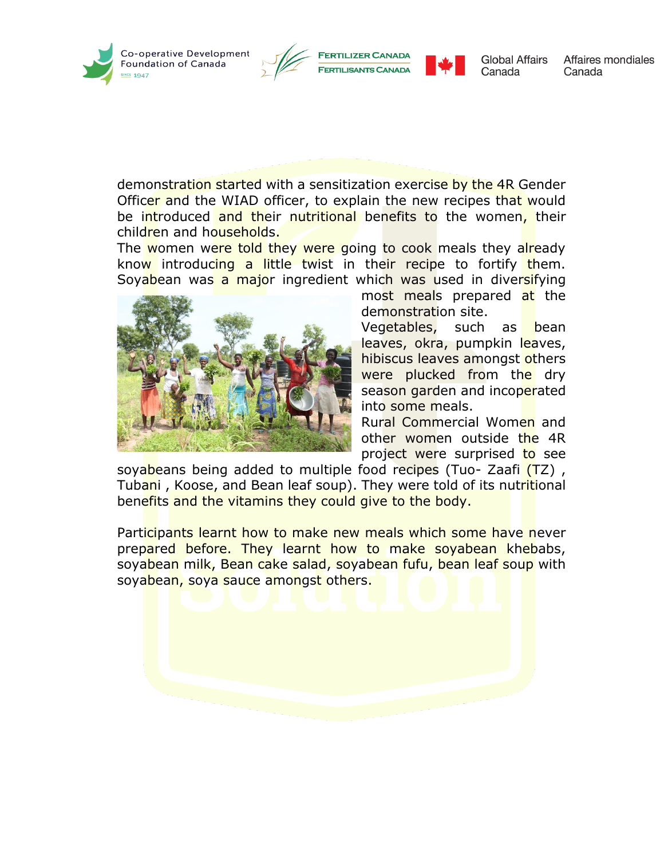





**Global Affairs** Canada

Affaires mondiales Canada

demonstration started with a sensitization exercise by the 4R Gender Officer and the WIAD officer, to explain the new recipes that would be introduced and their nutritional benefits to the women, their children and households.

The women were told they were going to cook meals they already know introducing a little twist in their recipe to fortify them. Soyabean was a major ingredient which was used in diversifying



most meals prepared at the demonstration site.

Vegetables, such as bean leaves, okra, pumpkin leaves, hibiscus leaves amongst others were plucked from the dry season garden and incoperated into some meals.

Rural Commercial Women and other women outside the 4R project were surprised to see

soyabeans being added to multiple food recipes (Tuo- Zaafi (TZ), Tubani, Koose, and Bean leaf soup). They were told of its nutritional benefits and the vitamins they could give to the body.

Participants learnt how to make new meals which some have never prepared before. They learnt how to make soyabean khebabs, soyabean milk, Bean cake salad, soyabean fufu, bean leaf soup with soyabean, soya sauce amongst others.